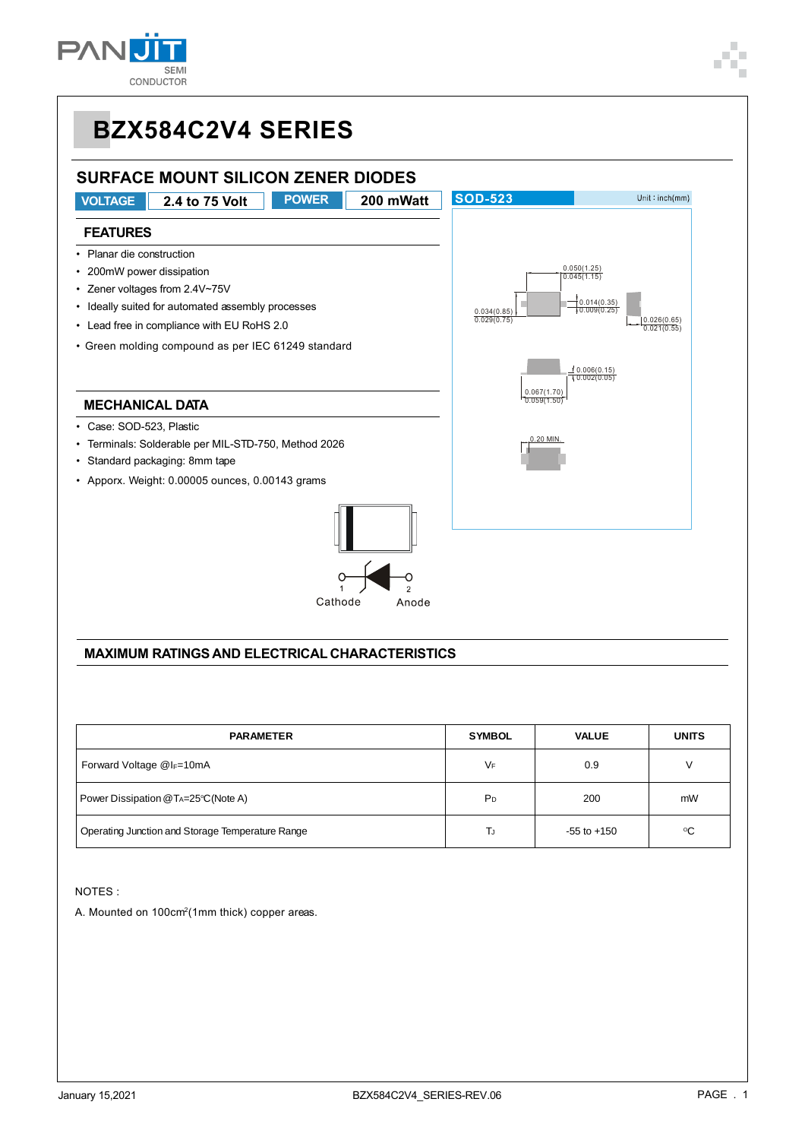

### **BZX584C2V4 SERIES SURFACE MOUNT SILICON ZENER DIODES SOD-523 VOLTAGE 2.4 to 75 Volt POWER 200 mWatt**  $Unit:inch(mm)$ **FEATURES** • Planar die construction • 200mW power dissipation 0.050(1.25) 0.045(1.15) • Zener voltages from 2.4V~75V • Ideally suited for automated assembly processes 0.014(0.35) 0.009(0.25) 0.034(0.85) 0.029(0.75) • Lead free in compliance with EU RoHS 2.0 0.026(0.65) 0.021(0.55) • Green molding compound as per IEC 61249 standard 0.006(0.15) 0.002(0.05) 0.067(1.70) **MECHANICAL DATA**  $0.59($ • Case: SOD-523, Plastic • Terminals: Solderable per MIL-STD-750, Method 2026 <u>0.20 MIN.</u> • Standard packaging: 8mm tape • Apporx. Weight: 0.00005 ounces, 0.00143 grams Cathode Anode

### **MAXIMUM RATINGS AND ELECTRICAL CHARACTERISTICS**

| <b>PARAMETER</b>                                 | <b>SYMBOL</b>  | <b>VALUE</b>    | <b>UNITS</b> |
|--------------------------------------------------|----------------|-----------------|--------------|
| Forward Voltage $@I_{F}=10mA$                    | VF             | 0.9             | V            |
| Power Dissipation @TA=25°C(Note A)               | P <sub>D</sub> | 200             | mW           |
| Operating Junction and Storage Temperature Range | TJ             | $-55$ to $+150$ | °C           |

NOTES :

A. Mounted on 100cm2(1mm thick) copper areas.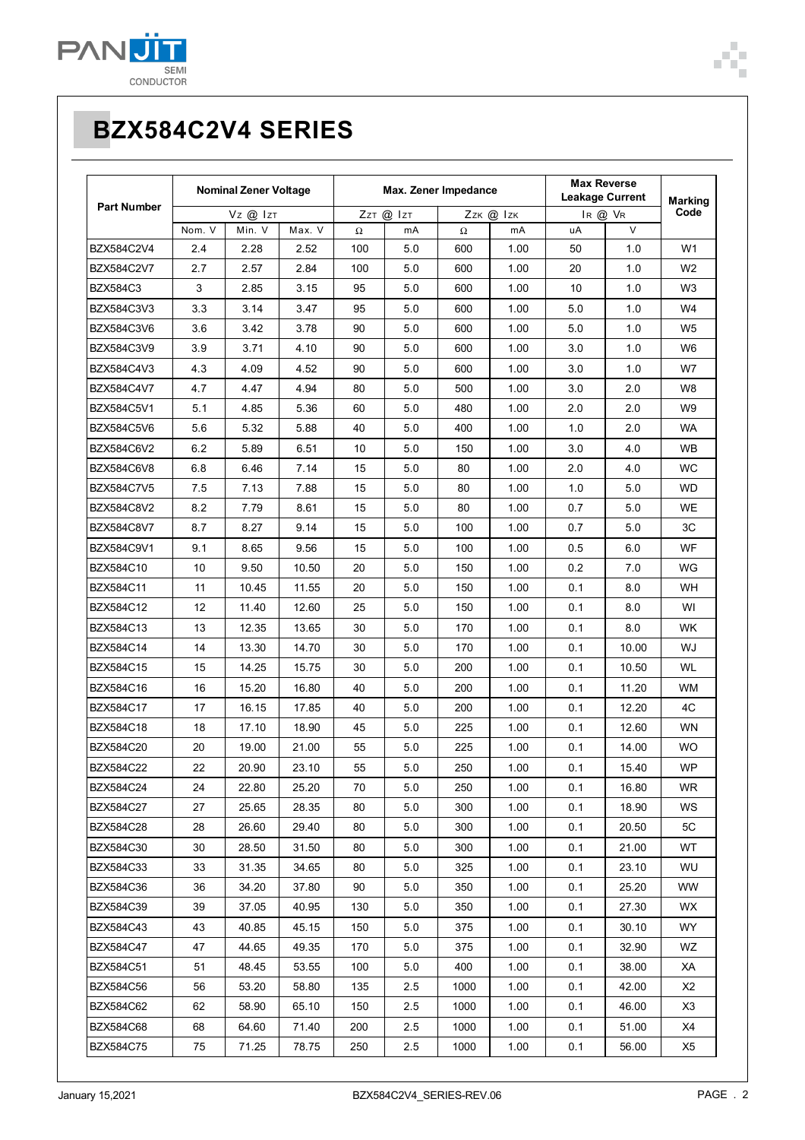

|                                                                            | <b>Max Reverse</b><br><b>Leakage Current</b><br>IR @ VR |                |
|----------------------------------------------------------------------------|---------------------------------------------------------|----------------|
| <b>Part Number</b><br>Vz @ Izt<br>ZzT @ IzT<br>Zzk @ Izk                   |                                                         |                |
| Nom. V<br>Min. V<br>Max. V<br>mA<br>$\Omega$<br>mA<br>Ω<br>uA              | $\vee$                                                  |                |
| BZX584C2V4<br>2.4<br>2.28<br>2.52<br>100<br>5.0<br>600<br>1.00<br>50       | 1.0                                                     | W1             |
| 2.7<br>2.57<br>2.84<br>100<br>5.0<br>600<br>20<br>BZX584C2V7<br>1.00       | 1.0                                                     | W <sub>2</sub> |
| BZX584C3<br>3<br>2.85<br>3.15<br>95<br>5.0<br>600<br>1.00<br>10            | 1.0                                                     | W3             |
| 3.3<br>BZX584C3V3<br>3.14<br>95<br>5.0<br>600<br>1.00<br>5.0<br>3.47       | 1.0                                                     | W4             |
| BZX584C3V6<br>3.6<br>3.42<br>90<br>600<br>1.00<br>3.78<br>5.0<br>5.0       | 1.0                                                     | W <sub>5</sub> |
| 3.9<br>BZX584C3V9<br>3.71<br>4.10<br>90<br>5.0<br>600<br>1.00<br>3.0       | 1.0                                                     | W6             |
| BZX584C4V3<br>4.3<br>4.09<br>4.52<br>90<br>5.0<br>600<br>1.00<br>3.0       | 1.0                                                     | W7             |
| BZX584C4V7<br>4.7<br>4.47<br>4.94<br>80<br>5.0<br>500<br>1.00<br>3.0       | 2.0                                                     | W8             |
| BZX584C5V1<br>5.1<br>5.36<br>60<br>5.0<br>480<br>1.00<br>2.0<br>4.85       | 2.0                                                     | W9             |
| BZX584C5V6<br>5.6<br>5.32<br>5.88<br>40<br>5.0<br>400<br>1.00<br>1.0       | 2.0                                                     | WA.            |
| BZX584C6V2<br>6.2<br>5.89<br>6.51<br>10<br>5.0<br>1.00<br>3.0<br>150       | 4.0                                                     | WB.            |
| <b>BZX584C6V8</b><br>6.8<br>6.46<br>7.14<br>15<br>5.0<br>80<br>1.00<br>2.0 | 4.0                                                     | WC             |
| BZX584C7V5<br>7.5<br>7.13<br>7.88<br>15<br>5.0<br>80<br>1.00<br>1.0        | 5.0                                                     | WD.            |
| BZX584C8V2<br>8.2<br>7.79<br>8.61<br>15<br>5.0<br>80<br>0.7<br>1.00        | 5.0                                                     | WE.            |
| BZX584C8V7<br>8.7<br>8.27<br>9.14<br>15<br>5.0<br>100<br>1.00<br>0.7       | 5.0                                                     | 3C             |
| BZX584C9V1<br>9.1<br>9.56<br>15<br>5.0<br>100<br>1.00<br>0.5<br>8.65       | 6.0                                                     | WF             |
| 10<br>0.2<br>BZX584C10<br>9.50<br>10.50<br>20<br>5.0<br>150<br>1.00        | 7.0                                                     | WG             |
| BZX584C11<br>11<br>10.45<br>11.55<br>20<br>5.0<br>150<br>1.00<br>0.1       | 8.0                                                     | WH.            |
| BZX584C12<br>12<br>11.40<br>12.60<br>25<br>5.0<br>150<br>1.00<br>0.1       | 8.0                                                     | WI             |
| BZX584C13<br>13<br>12.35<br>13.65<br>30<br>5.0<br>170<br>1.00<br>0.1       | 8.0                                                     | WK.            |
| BZX584C14<br>14<br>13.30<br>14.70<br>30<br>5.0<br>170<br>1.00<br>0.1       | 10.00                                                   | WJ             |
| 15<br>0.1<br>BZX584C15<br>14.25<br>15.75<br>30<br>5.0<br>200<br>1.00       | 10.50                                                   | WL             |
| 15.20<br>BZX584C16<br>16<br>16.80<br>5.0<br>200<br>0.1<br>40<br>1.00       | 11.20                                                   | WM.            |
| BZX584C17<br>17<br>16.15<br>17.85<br>40<br>5.0<br>200<br>1.00<br>0.1       | 12.20                                                   | 4C             |
| BZX584C18<br>18<br>17.10<br>18.90<br>45<br>225<br>0.1<br>50<br>1.00        | 12.60                                                   | <b>WN</b>      |
| BZX584C20<br>20<br>19.00<br>21.00<br>55<br>5.0<br>225<br>1.00<br>0.1       | 14.00                                                   | WO.            |
| BZX584C22<br>22<br>20.90<br>23.10<br>0.1<br>55<br>5.0<br>250<br>1.00       | 15.40                                                   | WP             |
| 1.00<br>0.1<br>24<br>22.80<br>25.20<br>5.0<br>BZX584C24<br>70<br>250       | 16.80                                                   | WR.            |
| 0.1<br>BZX584C27<br>27<br>25.65<br>28.35<br>80<br>5.0<br>300<br>1.00       | 18.90                                                   | WS.            |
| 28<br>29.40<br>1.00<br>0.1<br>BZX584C28<br>26.60<br>80<br>5.0<br>300       | 20.50                                                   | 5C             |
| BZX584C30<br>30<br>28.50<br>31.50<br>1.00<br>0.1<br>80<br>5.0<br>300       | 21.00                                                   | WT             |
| BZX584C33<br>33<br>31.35<br>34.65<br>5.0<br>325<br>1.00<br>0.1<br>80       | 23.10                                                   | WU.            |
| 0.1<br>BZX584C36<br>36<br>34.20<br>37.80<br>90<br>1.00<br>5.0<br>350       | 25.20                                                   | <b>WW</b>      |
| BZX584C39<br>39<br>37.05<br>40.95<br>350<br>1.00<br>0.1<br>130<br>5.0      | 27.30                                                   | WX.            |
| BZX584C43<br>43<br>40.85<br>45.15<br>150<br>5.0<br>1.00<br>0.1<br>375      | 30.10                                                   | WY.            |
| BZX584C47<br>47<br>44.65<br>49.35<br>170<br>5.0<br>375<br>1.00<br>0.1      | 32.90                                                   | WZ             |
| BZX584C51<br>51<br>48.45<br>53.55<br>100<br>5.0<br>400<br>1.00<br>0.1      | 38.00                                                   | XA             |
| 56<br>53.20<br>58.80<br>1000<br>1.00<br>0.1<br>BZX584C56<br>135<br>2.5     | 42.00                                                   | X2             |
| BZX584C62<br>62<br>58.90<br>65.10<br>2.5<br>1000<br>1.00<br>0.1<br>150     | 46.00                                                   | X <sub>3</sub> |
| BZX584C68<br>68<br>64.60<br>71.40<br>200<br>2.5<br>1000<br>1.00<br>0.1     | 51.00                                                   | X4             |
| BZX584C75<br>75<br>71.25<br>78.75<br>250<br>2.5<br>1000<br>1.00<br>0.1     | 56.00                                                   | X5             |

п Ė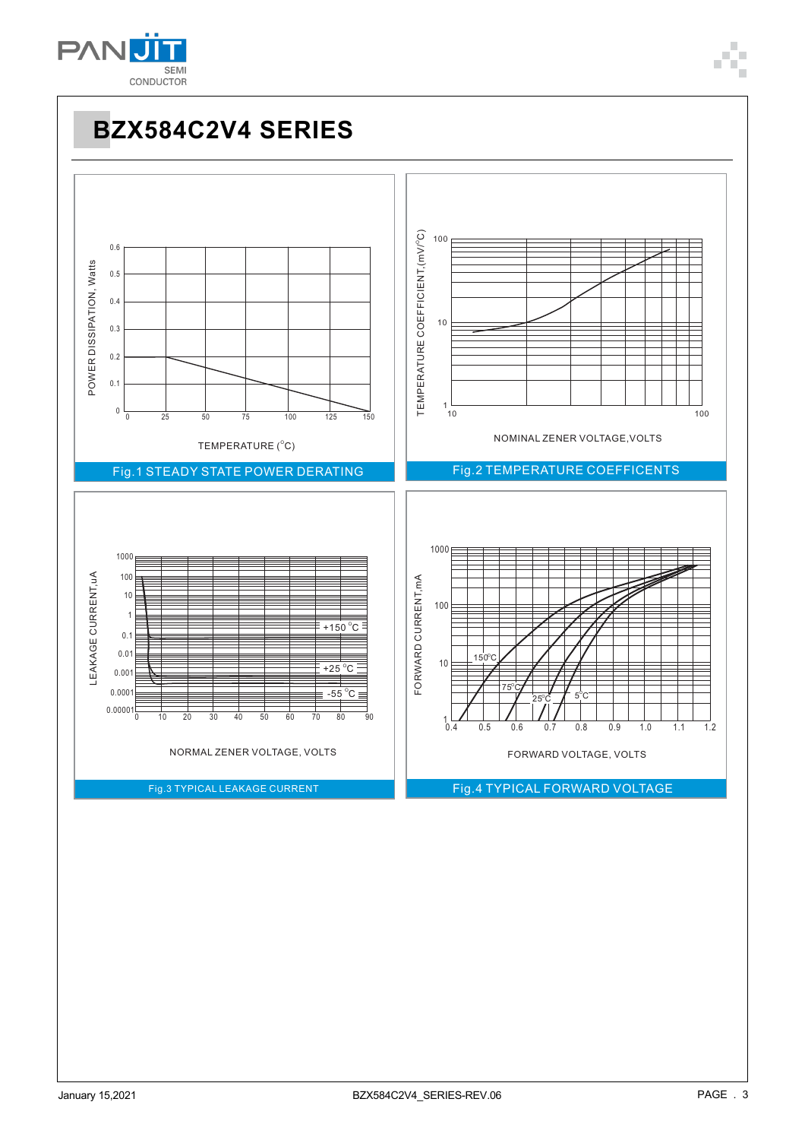

#### **BZX584C2V4 SERIES** TEMPERATURE COEFFICIENT, (mV/°C) TEMPERATURE COEFFICIENT,  $(mV^{\circ}C)$ 100 0.6 POWER DISSIPATION, Watts POWER DISSIPATION, Watts 0.5 0.4 10 0.3 0.2 0.1  $1\frac{L}{10}$  $100$ <sup>0</sup> 0 25 50 75 100 125 150 NOMINAL ZENER VOLTAGE,VOLTS TEMPERATURE  $(^{\circ}C)$ Fig.2 TEMPERATURE COEFFICENTS Fig.1 STEADY STATE POWER DERATING 1000 LEAKAGE CURRENT, uA 100 FORWARD CURRENT, mA LEAKAGE CURRENT,uA FORWARD CURRENT,mA 10 100 1  $+150^{\circ}$ C 0.1 0.01  $10$  $150^{\circ}$ C  $+25^{\circ}$ C 0.001  $-55^{\circ}C \equiv$ 0.0001  $\rightarrow$ ่∍ ∪<br>⊣ 25 C<br>| /| 0.00001  $50$  $^{1}$   $^{1}$   $^{0}$  $0.5$  $0<sub>6</sub>$  $0.7$  $0.8$  $\overline{1}$ NORMAL ZENER VOLTAGE, VOLTS FORWARD VOLTAGE, VOLTS Fig.3 TYPICAL LEAKAGE CURRENT Fig.4 TYPICAL FORWARD VOLTAGE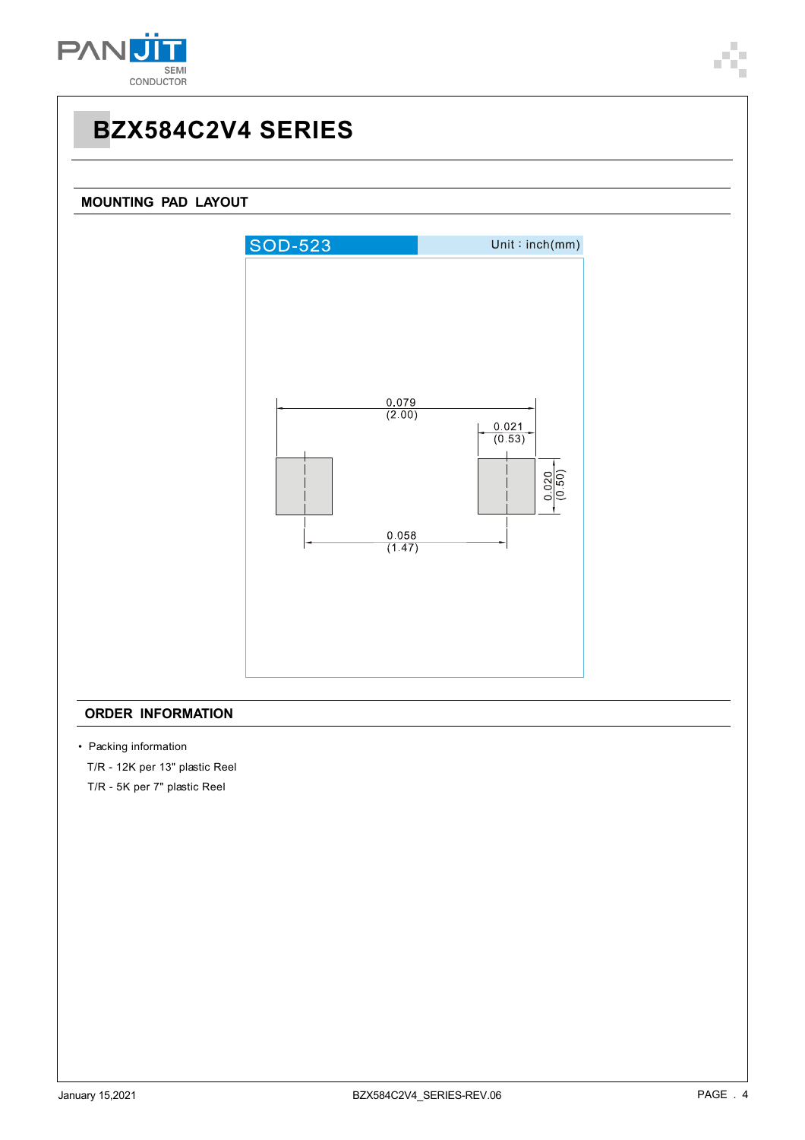

## **BZX584C2V4 SERIES**

### **MOUNTING PAD LAYOUT**



#### **ORDER INFORMATION**

• Packing information

T/R - 12K per 13" plastic Reel

T/R - 5K per 7" plastic Reel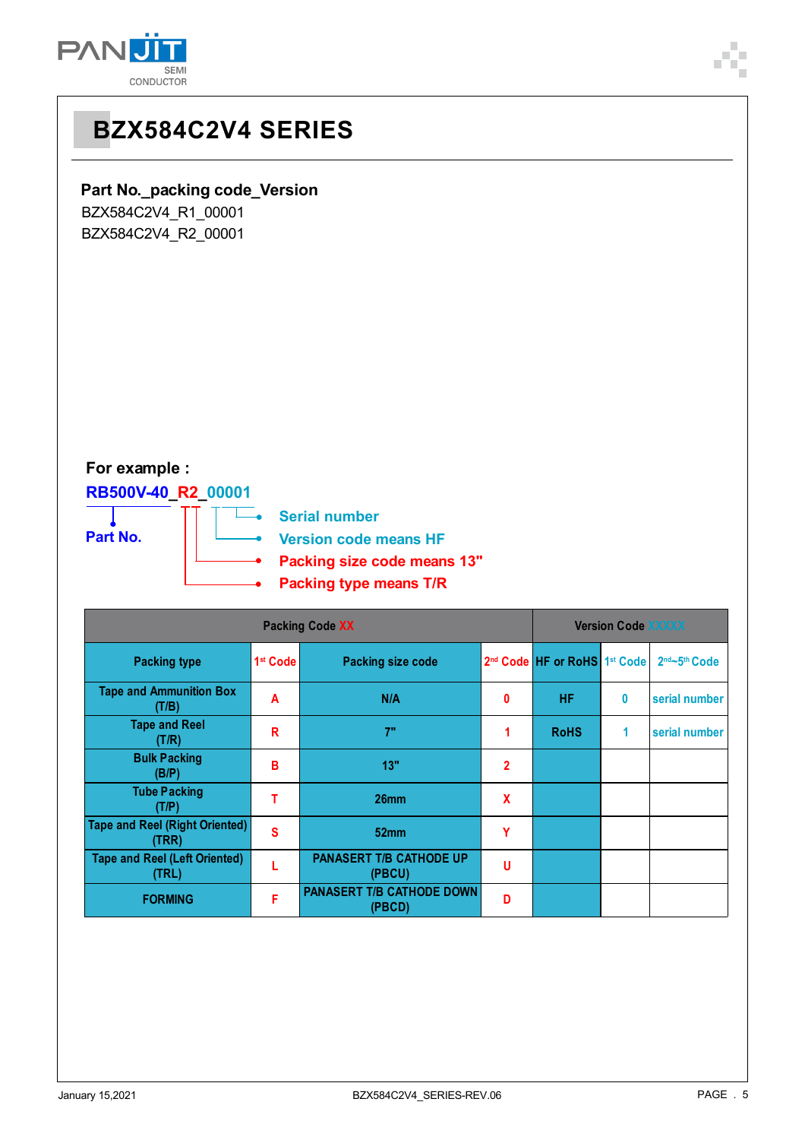



# **BZX584C2V4 SERIES**

### **Part No.\_packing code\_Version**

BZX584C2V4\_R1\_00001 BZX584C2V4\_R2\_00001

## **For example :**

## **RB500V-40\_R2\_00001**

÷.



**Serial number Version code means HF Packing size code means 13" Packing type means T/R**

| <b>Packing Code XX</b>                         |                      |                                            | <b>Version Code XXXXX</b> |                                                      |   |               |
|------------------------------------------------|----------------------|--------------------------------------------|---------------------------|------------------------------------------------------|---|---------------|
| <b>Packing type</b>                            | 1 <sup>st</sup> Code | <b>Packing size code</b>                   |                           | 2 <sup>nd</sup> Code HF or RoHS 1 <sup>st</sup> Code |   | 2nd~5th Code  |
| <b>Tape and Ammunition Box</b><br>(T/B)        | A                    | N/A                                        | 0                         | <b>HF</b>                                            | 0 | serial number |
| <b>Tape and Reel</b><br>(T/R)                  | R                    | 7"                                         |                           | <b>RoHS</b>                                          | 1 | serial number |
| <b>Bulk Packing</b><br>(B/P)                   | B                    | 13"                                        | $\overline{2}$            |                                                      |   |               |
| <b>Tube Packing</b><br>(T/P)                   |                      | 26 <sub>mm</sub>                           | X                         |                                                      |   |               |
| <b>Tape and Reel (Right Oriented)</b><br>(TRR) | S                    | 52mm                                       | Υ                         |                                                      |   |               |
| <b>Tape and Reel (Left Oriented)</b><br>(TRL)  |                      | <b>PANASERT T/B CATHODE UP</b><br>(PBCU)   | U                         |                                                      |   |               |
| <b>FORMING</b>                                 | F                    | <b>PANASERT T/B CATHODE DOWN</b><br>(PBCD) | D                         |                                                      |   |               |